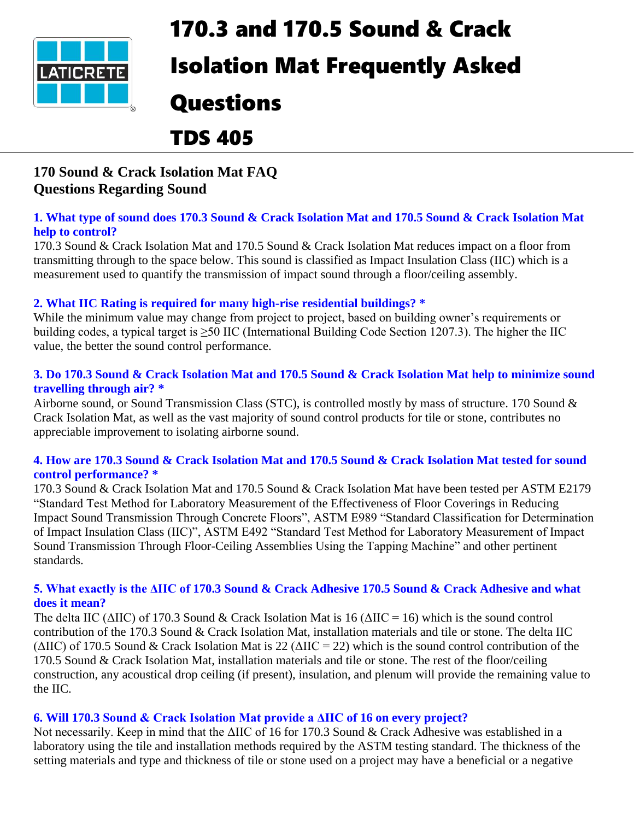

# 170.3 and 170.5 Sound & Crack

## Isolation Mat Frequently Asked

## Questions

## TDS 405

## **170 Sound & Crack Isolation Mat FAQ Questions Regarding Sound**

#### **1. What type of sound does 170.3 Sound & Crack Isolation Mat and 170.5 Sound & Crack Isolation Mat help to control?**

170.3 Sound & Crack Isolation Mat and 170.5 Sound & Crack Isolation Mat reduces impact on a floor from transmitting through to the space below. This sound is classified as Impact Insulation Class (IIC) which is a measurement used to quantify the transmission of impact sound through a floor/ceiling assembly.

### **2. What IIC Rating is required for many high-rise residential buildings? \***

While the minimum value may change from project to project, based on building owner's requirements or building codes, a typical target is  $\geq$ 50 IIC (International Building Code Section 1207.3). The higher the IIC value, the better the sound control performance.

#### **3. Do 170.3 Sound & Crack Isolation Mat and 170.5 Sound & Crack Isolation Mat help to minimize sound travelling through air? \***

Airborne sound, or Sound Transmission Class (STC), is controlled mostly by mass of structure. 170 Sound & Crack Isolation Mat, as well as the vast majority of sound control products for tile or stone, contributes no appreciable improvement to isolating airborne sound.

#### **4. How are 170.3 Sound & Crack Isolation Mat and 170.5 Sound & Crack Isolation Mat tested for sound control performance? \***

170.3 Sound & Crack Isolation Mat and 170.5 Sound & Crack Isolation Mat have been tested per ASTM E2179 "Standard Test Method for Laboratory Measurement of the Effectiveness of Floor Coverings in Reducing Impact Sound Transmission Through Concrete Floors", ASTM E989 "Standard Classification for Determination of Impact Insulation Class (IIC)", ASTM E492 "Standard Test Method for Laboratory Measurement of Impact Sound Transmission Through Floor-Ceiling Assemblies Using the Tapping Machine" and other pertinent standards.

#### **5. What exactly is the ΔIIC of 170.3 Sound & Crack Adhesive 170.5 Sound & Crack Adhesive and what does it mean?**

The delta IIC ( $\triangle$ IIC) of 170.3 Sound & Crack Isolation Mat is 16 ( $\triangle$ IIC = 16) which is the sound control contribution of the 170.3 Sound & Crack Isolation Mat, installation materials and tile or stone. The delta IIC ( $\triangle$ IIC) of 170.5 Sound & Crack Isolation Mat is 22 ( $\triangle$ IIC = 22) which is the sound control contribution of the 170.5 Sound & Crack Isolation Mat, installation materials and tile or stone. The rest of the floor/ceiling construction, any acoustical drop ceiling (if present), insulation, and plenum will provide the remaining value to the IIC.

### **6. Will 170.3 Sound & Crack Isolation Mat provide a ΔIIC of 16 on every project?**

Not necessarily. Keep in mind that the ΔIIC of 16 for 170.3 Sound & Crack Adhesive was established in a laboratory using the tile and installation methods required by the ASTM testing standard. The thickness of the setting materials and type and thickness of tile or stone used on a project may have a beneficial or a negative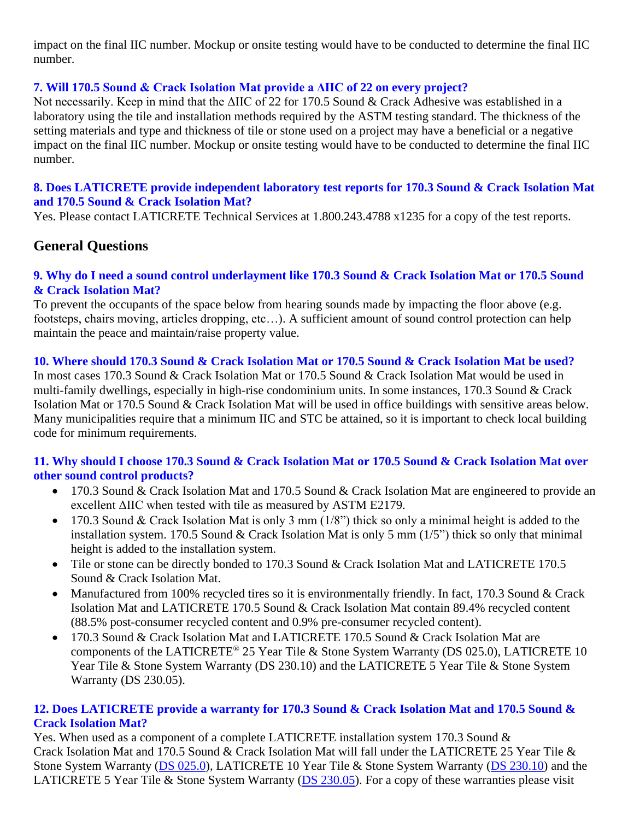impact on the final IIC number. Mockup or onsite testing would have to be conducted to determine the final IIC number.

#### **7. Will 170.5 Sound & Crack Isolation Mat provide a ΔIIC of 22 on every project?**

Not necessarily. Keep in mind that the ΔIIC of 22 for 170.5 Sound & Crack Adhesive was established in a laboratory using the tile and installation methods required by the ASTM testing standard. The thickness of the setting materials and type and thickness of tile or stone used on a project may have a beneficial or a negative impact on the final IIC number. Mockup or onsite testing would have to be conducted to determine the final IIC number.

#### **8. Does LATICRETE provide independent laboratory test reports for 170.3 Sound & Crack Isolation Mat and 170.5 Sound & Crack Isolation Mat?**

Yes. Please contact LATICRETE Technical Services at 1.800.243.4788 x1235 for a copy of the test reports.

### **General Questions**

#### **9. Why do I need a sound control underlayment like 170.3 Sound & Crack Isolation Mat or 170.5 Sound & Crack Isolation Mat?**

To prevent the occupants of the space below from hearing sounds made by impacting the floor above (e.g. footsteps, chairs moving, articles dropping, etc…). A sufficient amount of sound control protection can help maintain the peace and maintain/raise property value.

#### **10. Where should 170.3 Sound & Crack Isolation Mat or 170.5 Sound & Crack Isolation Mat be used?**

In most cases 170.3 Sound & Crack Isolation Mat or 170.5 Sound & Crack Isolation Mat would be used in multi-family dwellings, especially in high-rise condominium units. In some instances, 170.3 Sound & Crack Isolation Mat or 170.5 Sound & Crack Isolation Mat will be used in office buildings with sensitive areas below. Many municipalities require that a minimum IIC and STC be attained, so it is important to check local building code for minimum requirements.

#### **11. Why should I choose 170.3 Sound & Crack Isolation Mat or 170.5 Sound & Crack Isolation Mat over other sound control products?**

- 170.3 Sound & Crack Isolation Mat and 170.5 Sound & Crack Isolation Mat are engineered to provide an excellent ΔIIC when tested with tile as measured by ASTM E2179.
- 170.3 Sound & Crack Isolation Mat is only 3 mm (1/8") thick so only a minimal height is added to the installation system. 170.5 Sound & Crack Isolation Mat is only 5 mm (1/5") thick so only that minimal height is added to the installation system.
- Tile or stone can be directly bonded to 170.3 Sound & Crack Isolation Mat and LATICRETE 170.5 Sound & Crack Isolation Mat.
- Manufactured from 100% recycled tires so it is environmentally friendly. In fact, 170.3 Sound & Crack Isolation Mat and LATICRETE 170.5 Sound & Crack Isolation Mat contain 89.4% recycled content (88.5% post-consumer recycled content and 0.9% pre-consumer recycled content).
- 170.3 Sound & Crack Isolation Mat and LATICRETE 170.5 Sound & Crack Isolation Mat are components of the LATICRETE® 25 Year Tile & Stone System Warranty (DS 025.0), LATICRETE 10 Year Tile & Stone System Warranty (DS 230.10) and the LATICRETE 5 Year Tile & Stone System Warranty (DS 230.05).

#### **12. Does LATICRETE provide a warranty for 170.3 Sound & Crack Isolation Mat and 170.5 Sound & Crack Isolation Mat?**

Yes. When used as a component of a complete LATICRETE installation system 170.3 Sound & Crack Isolation Mat and 170.5 Sound & Crack Isolation Mat will fall under the LATICRETE 25 Year Tile & Stone System Warranty [\(DS 025.0\)](https://cdn.laticrete.com/~/media/product-documents/warranties/ds0250_25-year-system-warranty.ashx), LATICRETE 10 Year Tile & Stone System Warranty [\(DS 230.10\)](https://cdn.laticrete.com/~/media/product-documents/warranties/ds23010-10-year-system-warranty.ashx) and the LATICRETE 5 Year Tile & Stone System Warranty [\(DS 230.05\)](https://cdn.laticrete.com/~/media/product-documents/warranties/ds23005_5-year-system-warranty.ashx). For a copy of these warranties please visit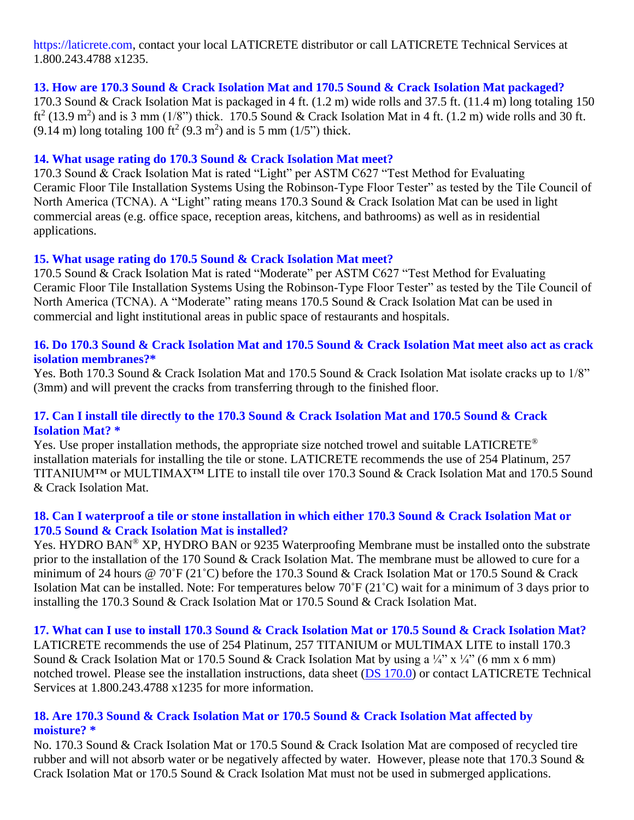https://laticrete.com, contact your local LATICRETE distributor or call LATICRETE Technical Services at 1.800.243.4788 x1235.

#### **13. How are 170.3 Sound & Crack Isolation Mat and 170.5 Sound & Crack Isolation Mat packaged?**

170.3 Sound & Crack Isolation Mat is packaged in 4 ft. (1.2 m) wide rolls and 37.5 ft. (11.4 m) long totaling 150 ft<sup>2</sup> (13.9 m<sup>2</sup>) and is 3 mm (1/8") thick. 170.5 Sound & Crack Isolation Mat in 4 ft. (1.2 m) wide rolls and 30 ft.  $(9.14 \text{ m})$  long totaling 100 ft<sup>2</sup>  $(9.3 \text{ m}^2)$  and is 5 mm  $(1/5")$  thick.

#### **14. What usage rating do 170.3 Sound & Crack Isolation Mat meet?**

170.3 Sound & Crack Isolation Mat is rated "Light" per ASTM C627 "Test Method for Evaluating Ceramic Floor Tile Installation Systems Using the Robinson-Type Floor Tester" as tested by the Tile Council of North America (TCNA). A "Light" rating means 170.3 Sound & Crack Isolation Mat can be used in light commercial areas (e.g. office space, reception areas, kitchens, and bathrooms) as well as in residential applications.

#### **15. What usage rating do 170.5 Sound & Crack Isolation Mat meet?**

170.5 Sound & Crack Isolation Mat is rated "Moderate" per ASTM C627 "Test Method for Evaluating Ceramic Floor Tile Installation Systems Using the Robinson-Type Floor Tester" as tested by the Tile Council of North America (TCNA). A "Moderate" rating means 170.5 Sound & Crack Isolation Mat can be used in commercial and light institutional areas in public space of restaurants and hospitals.

#### **16. Do 170.3 Sound & Crack Isolation Mat and 170.5 Sound & Crack Isolation Mat meet also act as crack isolation membranes?\***

Yes. Both 170.3 Sound & Crack Isolation Mat and 170.5 Sound & Crack Isolation Mat isolate cracks up to 1/8" (3mm) and will prevent the cracks from transferring through to the finished floor.

#### **17. Can I install tile directly to the 170.3 Sound & Crack Isolation Mat and 170.5 Sound & Crack Isolation Mat? \***

Yes. Use proper installation methods, the appropriate size notched trowel and suitable LATICRETE® installation materials for installing the tile or stone. LATICRETE recommends the use of 254 Platinum, 257 TITANIUM™ or MULTIMAX™ LITE to install tile over 170.3 Sound & Crack Isolation Mat and 170.5 Sound & Crack Isolation Mat.

#### **18. Can I waterproof a tile or stone installation in which either 170.3 Sound & Crack Isolation Mat or 170.5 Sound & Crack Isolation Mat is installed?**

Yes. HYDRO BAN® XP, HYDRO BAN or 9235 Waterproofing Membrane must be installed onto the substrate prior to the installation of the 170 Sound & Crack Isolation Mat. The membrane must be allowed to cure for a minimum of 24 hours @ 70˚F (21˚C) before the 170.3 Sound & Crack Isolation Mat or 170.5 Sound & Crack Isolation Mat can be installed. Note: For temperatures below 70˚F (21˚C) wait for a minimum of 3 days prior to installing the 170.3 Sound & Crack Isolation Mat or 170.5 Sound & Crack Isolation Mat.

#### **17. What can I use to install 170.3 Sound & Crack Isolation Mat or 170.5 Sound & Crack Isolation Mat?**

LATICRETE recommends the use of 254 Platinum, 257 TITANIUM or MULTIMAX LITE to install 170.3 Sound & Crack Isolation Mat or 170.5 Sound & Crack Isolation Mat by using a  $\frac{1}{4}$ " x  $\frac{1}{4}$ " (6 mm x 6 mm) notched trowel. Please see the installation instructions, data sheet [\(DS 170.0\)](https://cdn.laticrete.com/~/media/product-documents/product-data-sheets/lds1700_170-sound-crack-isolation-mat.ashx) or contact LATICRETE Technical Services at 1.800.243.4788 x1235 for more information.

#### **18. Are 170.3 Sound & Crack Isolation Mat or 170.5 Sound & Crack Isolation Mat affected by moisture? \***

No. 170.3 Sound & Crack Isolation Mat or 170.5 Sound & Crack Isolation Mat are composed of recycled tire rubber and will not absorb water or be negatively affected by water. However, please note that 170.3 Sound & Crack Isolation Mat or 170.5 Sound & Crack Isolation Mat must not be used in submerged applications.